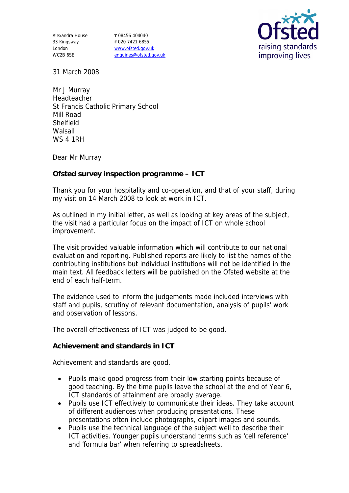Alexandra House 33 Kingsway London WC2B 6SE

**T** 08456 404040 **F** 020 7421 6855 www.ofsted.gov.uk enquiries@ofsted.gov.uk



31 March 2008

Mr J Murray Headteacher St Francis Catholic Primary School Mill Road Shelfield **Walsall** WS 4 1RH

Dear Mr Murray

**Ofsted survey inspection programme – ICT**

Thank you for your hospitality and co-operation, and that of your staff, during my visit on 14 March 2008 to look at work in ICT.

As outlined in my initial letter, as well as looking at key areas of the subject, the visit had a particular focus on the impact of ICT on whole school improvement.

The visit provided valuable information which will contribute to our national evaluation and reporting. Published reports are likely to list the names of the contributing institutions but individual institutions will not be identified in the main text. All feedback letters will be published on the Ofsted website at the end of each half-term.

The evidence used to inform the judgements made included interviews with staff and pupils, scrutiny of relevant documentation, analysis of pupils' work and observation of lessons.

The overall effectiveness of ICT was judged to be good.

**Achievement and standards in ICT**

Achievement and standards are good.

- Pupils make good progress from their low starting points because of good teaching. By the time pupils leave the school at the end of Year 6, ICT standards of attainment are broadly average.
- Pupils use ICT effectively to communicate their ideas. They take account of different audiences when producing presentations. These presentations often include photographs, clipart images and sounds.
- Pupils use the technical language of the subject well to describe their ICT activities. Younger pupils understand terms such as 'cell reference' and 'formula bar' when referring to spreadsheets.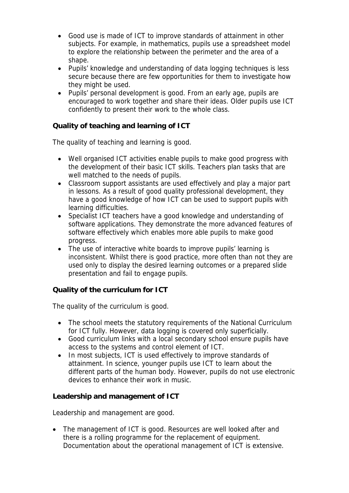- Good use is made of ICT to improve standards of attainment in other subjects. For example, in mathematics, pupils use a spreadsheet model to explore the relationship between the perimeter and the area of a shape.
- Pupils' knowledge and understanding of data logging techniques is less secure because there are few opportunities for them to investigate how they might be used.
- Pupils' personal development is good. From an early age, pupils are encouraged to work together and share their ideas. Older pupils use ICT confidently to present their work to the whole class.

**Quality of teaching and learning of ICT**

The quality of teaching and learning is good.

- Well organised ICT activities enable pupils to make good progress with the development of their basic ICT skills. Teachers plan tasks that are well matched to the needs of pupils.
- Classroom support assistants are used effectively and play a major part in lessons. As a result of good quality professional development, they have a good knowledge of how ICT can be used to support pupils with learning difficulties.
- Specialist ICT teachers have a good knowledge and understanding of software applications. They demonstrate the more advanced features of software effectively which enables more able pupils to make good progress.
- The use of interactive white boards to improve pupils' learning is inconsistent. Whilst there is good practice, more often than not they are used only to display the desired learning outcomes or a prepared slide presentation and fail to engage pupils.

**Quality of the curriculum for ICT**

The quality of the curriculum is good.

- The school meets the statutory requirements of the National Curriculum for ICT fully. However, data logging is covered only superficially.
- Good curriculum links with a local secondary school ensure pupils have access to the systems and control element of ICT.
- In most subjects, ICT is used effectively to improve standards of attainment. In science, younger pupils use ICT to learn about the different parts of the human body. However, pupils do not use electronic devices to enhance their work in music.

**Leadership and management of ICT**

Leadership and management are good.

• The management of ICT is good. Resources are well looked after and there is a rolling programme for the replacement of equipment. Documentation about the operational management of ICT is extensive.